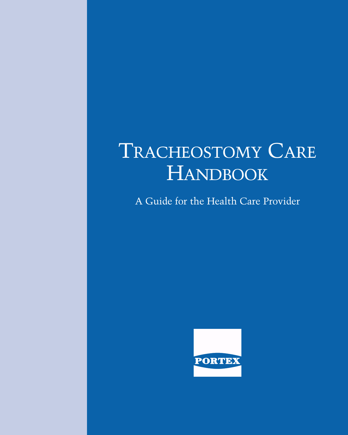# TRACHEOSTOMY CARE **HANDBOOK**

A Guide for the Health Care Provider

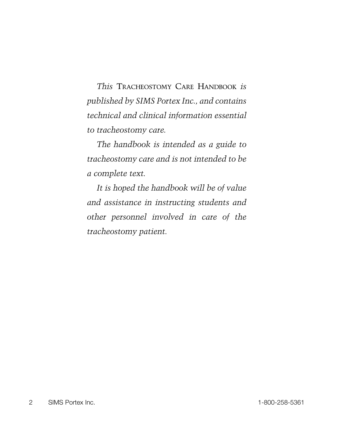*This* TRACHEOSTOMY CARE HANDBOOK *is published by SIMS Portex Inc., and contains technical and clinical information essential to tracheostomy care.*

*The handbook is intended as a guide to tracheostomy care and is not intended to be a complete text.*

*It is hoped the handbook will be of value and assistance in instructing students and other personnel involved in care of the tracheostomy patient.*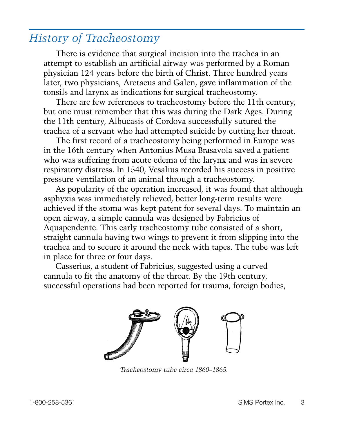# *History of Tracheostomy*

There is evidence that surgical incision into the trachea in an attempt to establish an artificial airway was performed by a Roman physician 124 years before the birth of Christ. Three hundred years later, two physicians, Aretaeus and Galen, gave inflammation of the tonsils and larynx as indications for surgical tracheostomy.

There are few references to tracheostomy before the 11th century, but one must remember that this was during the Dark Ages. During the 11th century, Albucasis of Cordova successfully sutured the trachea of a servant who had attempted suicide by cutting her throat.

The first record of a tracheostomy being performed in Europe was in the 16th century when Antonius Musa Brasavola saved a patient who was suffering from acute edema of the larynx and was in severe respiratory distress. In 1540, Vesalius recorded his success in positive pressure ventilation of an animal through a tracheostomy.

As popularity of the operation increased, it was found that although asphyxia was immediately relieved, better long-term results were achieved if the stoma was kept patent for several days. To maintain an open airway, a simple cannula was designed by Fabricius of Aquapendente. This early tracheostomy tube consisted of a short, straight cannula having two wings to prevent it from slipping into the trachea and to secure it around the neck with tapes. The tube was left in place for three or four days.

Casserius, a student of Fabricius, suggested using a curved cannula to fit the anatomy of the throat. By the 19th century, successful operations had been reported for trauma, foreign bodies,



*Tracheostomy tube circa 1860–1865.*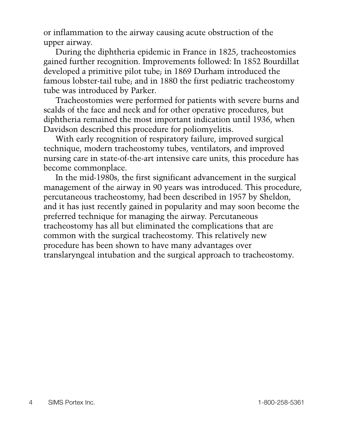or inflammation to the airway causing acute obstruction of the upper airway.

During the diphtheria epidemic in France in 1825, tracheostomies gained further recognition. Improvements followed: In 1852 Bourdillat developed a primitive pilot tube; in 1869 Durham introduced the famous lobster-tail tube; and in 1880 the first pediatric tracheostomy tube was introduced by Parker.

Tracheostomies were performed for patients with severe burns and scalds of the face and neck and for other operative procedures, but diphtheria remained the most important indication until 1936, when Davidson described this procedure for poliomyelitis.

With early recognition of respiratory failure, improved surgical technique, modern tracheostomy tubes, ventilators, and improved nursing care in state-of-the-art intensive care units, this procedure has become commonplace.

In the mid-1980s, the first significant advancement in the surgical management of the airway in 90 years was introduced. This procedure, percutaneous tracheostomy, had been described in 1957 by Sheldon, and it has just recently gained in popularity and may soon become the preferred technique for managing the airway. Percutaneous tracheostomy has all but eliminated the complications that are common with the surgical tracheostomy. This relatively new procedure has been shown to have many advantages over translaryngeal intubation and the surgical approach to tracheostomy.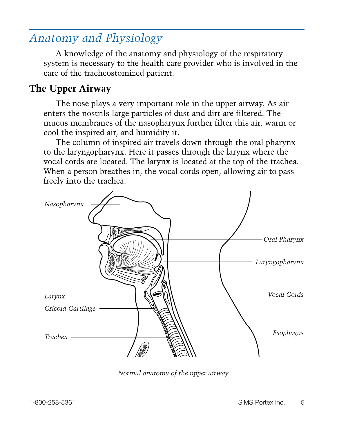# *Anatomy and Physiology*

A knowledge of the anatomy and physiology of the respiratory system is necessary to the health care provider who is involved in the care of the tracheostomized patient.

# **The Upper Airway**

The nose plays a very important role in the upper airway. As air enters the nostrils large particles of dust and dirt are filtered. The mucus membranes of the nasopharynx further filter this air, warm or cool the inspired air, and humidify it.

The column of inspired air travels down through the oral pharynx to the laryngopharynx. Here it passes through the larynx where the vocal cords are located. The larynx is located at the top of the trachea. When a person breathes in, the vocal cords open, allowing air to pass freely into the trachea.



*Normal anatomy of the upper airway.*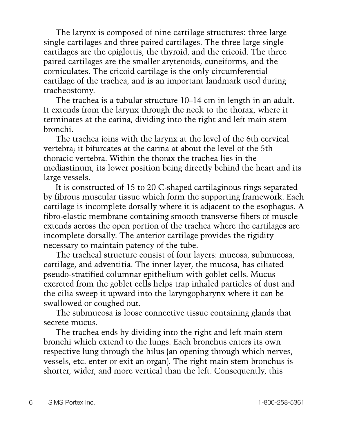The larynx is composed of nine cartilage structures: three large single cartilages and three paired cartilages. The three large single cartilages are the epiglottis, the thyroid, and the cricoid. The three paired cartilages are the smaller arytenoids, cuneiforms, and the corniculates. The cricoid cartilage is the only circumferential cartilage of the trachea, and is an important landmark used during tracheostomy.

The trachea is a tubular structure 10–14 cm in length in an adult. It extends from the larynx through the neck to the thorax, where it terminates at the carina, dividing into the right and left main stem bronchi.

The trachea joins with the larynx at the level of the 6th cervical vertebra; it bifurcates at the carina at about the level of the 5th thoracic vertebra. Within the thorax the trachea lies in the mediastinum, its lower position being directly behind the heart and its large vessels.

It is constructed of 15 to 20 C-shaped cartilaginous rings separated by fibrous muscular tissue which form the supporting framework. Each cartilage is incomplete dorsally where it is adjacent to the esophagus. A fibro-elastic membrane containing smooth transverse fibers of muscle extends across the open portion of the trachea where the cartilages are incomplete dorsally. The anterior cartilage provides the rigidity necessary to maintain patency of the tube.

The tracheal structure consist of four layers: mucosa, submucosa, cartilage, and adventitia. The inner layer, the mucosa, has ciliated pseudo-stratified columnar epithelium with goblet cells. Mucus excreted from the goblet cells helps trap inhaled particles of dust and the cilia sweep it upward into the laryngopharynx where it can be swallowed or coughed out.

The submucosa is loose connective tissue containing glands that secrete mucus.

The trachea ends by dividing into the right and left main stem bronchi which extend to the lungs. Each bronchus enters its own respective lung through the hilus (an opening through which nerves, vessels, etc. enter or exit an organ). The right main stem bronchus is shorter, wider, and more vertical than the left. Consequently, this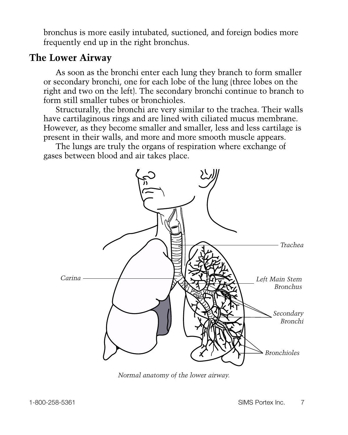bronchus is more easily intubated, suctioned, and foreign bodies more frequently end up in the right bronchus.

### **The Lower Airway**

As soon as the bronchi enter each lung they branch to form smaller or secondary bronchi, one for each lobe of the lung (three lobes on the right and two on the left). The secondary bronchi continue to branch to form still smaller tubes or bronchioles.

Structurally, the bronchi are very similar to the trachea. Their walls have cartilaginous rings and are lined with ciliated mucus membrane. However, as they become smaller and smaller, less and less cartilage is present in their walls, and more and more smooth muscle appears.

The lungs are truly the organs of respiration where exchange of gases between blood and air takes place.



*Normal anatomy of the lower airway.*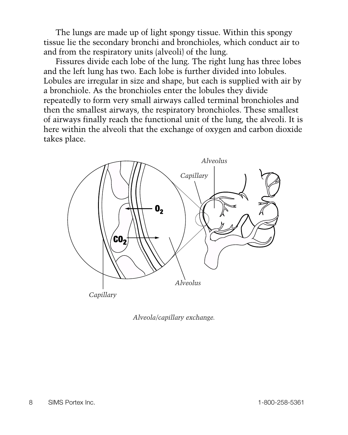The lungs are made up of light spongy tissue. Within this spongy tissue lie the secondary bronchi and bronchioles, which conduct air to and from the respiratory units (alveoli) of the lung.

Fissures divide each lobe of the lung. The right lung has three lobes and the left lung has two. Each lobe is further divided into lobules. Lobules are irregular in size and shape, but each is supplied with air by a bronchiole. As the bronchioles enter the lobules they divide repeatedly to form very small airways called terminal bronchioles and then the smallest airways, the respiratory bronchioles. These smallest of airways finally reach the functional unit of the lung, the alveoli. It is here within the alveoli that the exchange of oxygen and carbon dioxide takes place.



*Alveola/capillary exchange.*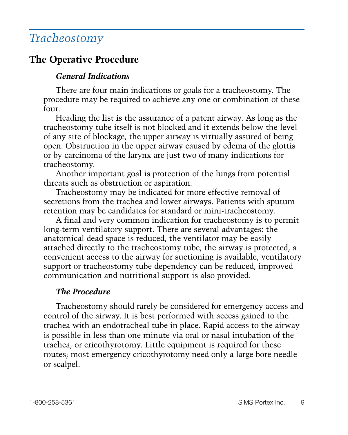# *Tracheostomy*

### **The Operative Procedure**

#### *General Indications*

There are four main indications or goals for a tracheostomy. The procedure may be required to achieve any one or combination of these four.

Heading the list is the assurance of a patent airway. As long as the tracheostomy tube itself is not blocked and it extends below the level of any site of blockage, the upper airway is virtually assured of being open. Obstruction in the upper airway caused by edema of the glottis or by carcinoma of the larynx are just two of many indications for tracheostomy.

Another important goal is protection of the lungs from potential threats such as obstruction or aspiration.

Tracheostomy may be indicated for more effective removal of secretions from the trachea and lower airways. Patients with sputum retention may be candidates for standard or mini-tracheostomy.

A final and very common indication for tracheostomy is to permit long-term ventilatory support. There are several advantages: the anatomical dead space is reduced, the ventilator may be easily attached directly to the tracheostomy tube, the airway is protected, a convenient access to the airway for suctioning is available, ventilatory support or tracheostomy tube dependency can be reduced, improved communication and nutritional support is also provided.

#### *The Procedure*

Tracheostomy should rarely be considered for emergency access and control of the airway. It is best performed with access gained to the trachea with an endotracheal tube in place. Rapid access to the airway is possible in less than one minute via oral or nasal intubation of the trachea, or cricothyrotomy. Little equipment is required for these routes; most emergency cricothyrotomy need only a large bore needle or scalpel.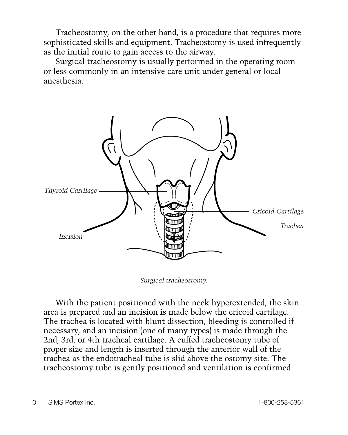Tracheostomy, on the other hand, is a procedure that requires more sophisticated skills and equipment. Tracheostomy is used infrequently as the initial route to gain access to the airway.

Surgical tracheostomy is usually performed in the operating room or less commonly in an intensive care unit under general or local anesthesia.



*Surgical tracheostomy.*

With the patient positioned with the neck hyperextended, the skin area is prepared and an incision is made below the cricoid cartilage. The trachea is located with blunt dissection, bleeding is controlled if necessary, and an incision (one of many types) is made through the 2nd, 3rd, or 4th tracheal cartilage. A cuffed tracheostomy tube of proper size and length is inserted through the anterior wall of the trachea as the endotracheal tube is slid above the ostomy site. The tracheostomy tube is gently positioned and ventilation is confirmed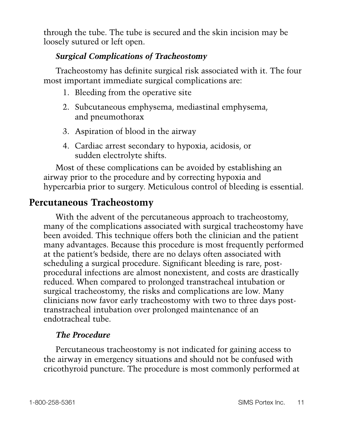through the tube. The tube is secured and the skin incision may be loosely sutured or left open.

#### *Surgical Complications of Tracheostomy*

Tracheostomy has definite surgical risk associated with it. The four most important immediate surgical complications are:

- 1. Bleeding from the operative site
- 2. Subcutaneous emphysema, mediastinal emphysema, and pneumothorax
- 3. Aspiration of blood in the airway
- 4. Cardiac arrest secondary to hypoxia, acidosis, or sudden electrolyte shifts.

Most of these complications can be avoided by establishing an airway prior to the procedure and by correcting hypoxia and hypercarbia prior to surgery. Meticulous control of bleeding is essential.

### **Percutaneous Tracheostomy**

With the advent of the percutaneous approach to tracheostomy, many of the complications associated with surgical tracheostomy have been avoided. This technique offers both the clinician and the patient many advantages. Because this procedure is most frequently performed at the patient's bedside, there are no delays often associated with scheduling a surgical procedure. Significant bleeding is rare, postprocedural infections are almost nonexistent, and costs are drastically reduced. When compared to prolonged transtracheal intubation or surgical tracheostomy, the risks and complications are low. Many clinicians now favor early tracheostomy with two to three days posttranstracheal intubation over prolonged maintenance of an endotracheal tube.

#### *The Procedure*

Percutaneous tracheostomy is not indicated for gaining access to the airway in emergency situations and should not be confused with cricothyroid puncture. The procedure is most commonly performed at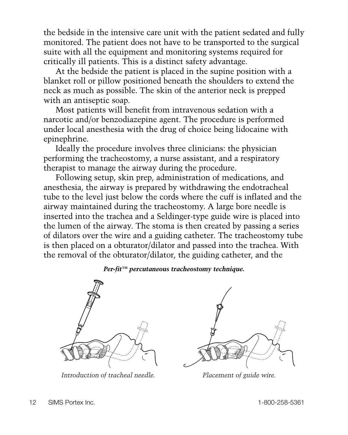the bedside in the intensive care unit with the patient sedated and fully monitored. The patient does not have to be transported to the surgical suite with all the equipment and monitoring systems required for critically ill patients. This is a distinct safety advantage.

At the bedside the patient is placed in the supine position with a blanket roll or pillow positioned beneath the shoulders to extend the neck as much as possible. The skin of the anterior neck is prepped with an antiseptic soap.

Most patients will benefit from intravenous sedation with a narcotic and/or benzodiazepine agent. The procedure is performed under local anesthesia with the drug of choice being lidocaine with epinephrine.

Ideally the procedure involves three clinicians: the physician performing the tracheostomy, a nurse assistant, and a respiratory therapist to manage the airway during the procedure.

Following setup, skin prep, administration of medications, and anesthesia, the airway is prepared by withdrawing the endotracheal tube to the level just below the cords where the cuff is inflated and the airway maintained during the tracheostomy. A large bore needle is inserted into the trachea and a Seldinger-type guide wire is placed into the lumen of the airway. The stoma is then created by passing a series of dilators over the wire and a guiding catheter. The tracheostomy tube is then placed on a obturator/dilator and passed into the trachea. With the removal of the obturator/dilator, the guiding catheter, and the

#### *Per-fit™ percutaneous tracheostomy technique.*



*Introduction of tracheal needle. Placement of guide wire.*

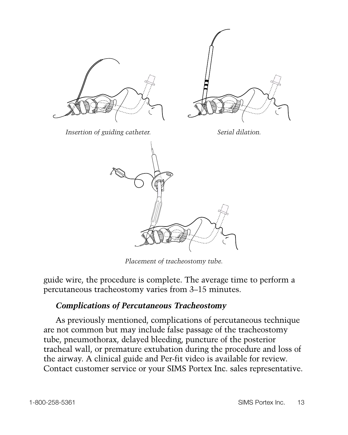

*Placement of tracheostomy tube.*

guide wire, the procedure is complete. The average time to perform a percutaneous tracheostomy varies from 3–15 minutes.

#### *Complications of Percutaneous Tracheostomy*

As previously mentioned, complications of percutaneous technique are not common but may include false passage of the tracheostomy tube, pneumothorax, delayed bleeding, puncture of the posterior tracheal wall, or premature extubation during the procedure and loss of the airway. A clinical guide and Per-fit video is available for review. Contact customer service or your SIMS Portex Inc. sales representative.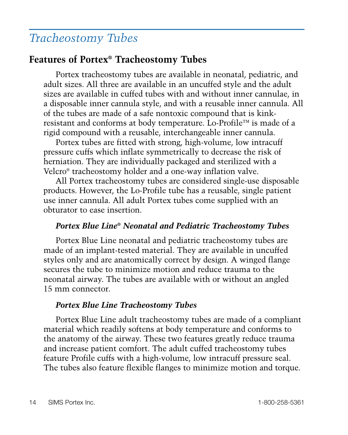# *Tracheostomy Tubes*

### **Features of Portex® Tracheostomy Tubes**

Portex tracheostomy tubes are available in neonatal, pediatric, and adult sizes. All three are available in an uncuffed style and the adult sizes are available in cuffed tubes with and without inner cannulae, in a disposable inner cannula style, and with a reusable inner cannula. All of the tubes are made of a safe nontoxic compound that is kinkresistant and conforms at body temperature. Lo-Profile™ is made of a rigid compound with a reusable, interchangeable inner cannula.

Portex tubes are fitted with strong, high-volume, low intracuff pressure cuffs which inflate symmetrically to decrease the risk of herniation. They are individually packaged and sterilized with a Velcro® tracheostomy holder and a one-way inflation valve.

All Portex tracheostomy tubes are considered single-use disposable products. However, the Lo-Profile tube has a reusable, single patient use inner cannula. All adult Portex tubes come supplied with an obturator to ease insertion.

#### *Portex Blue Line® Neonatal and Pediatric Tracheostomy Tubes*

Portex Blue Line neonatal and pediatric tracheostomy tubes are made of an implant-tested material. They are available in uncuffed styles only and are anatomically correct by design. A winged flange secures the tube to minimize motion and reduce trauma to the neonatal airway. The tubes are available with or without an angled 15 mm connector.

#### *Portex Blue Line Tracheostomy Tubes*

Portex Blue Line adult tracheostomy tubes are made of a compliant material which readily softens at body temperature and conforms to the anatomy of the airway. These two features greatly reduce trauma and increase patient comfort. The adult cuffed tracheostomy tubes feature Profile cuffs with a high-volume, low intracuff pressure seal. The tubes also feature flexible flanges to minimize motion and torque.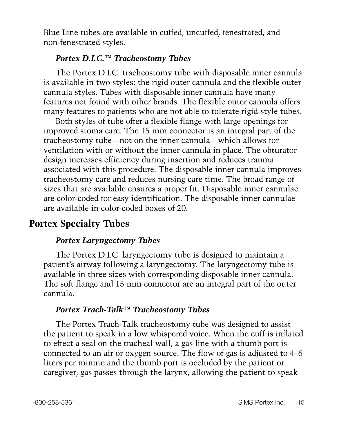Blue Line tubes are available in cuffed, uncuffed, fenestrated, and non-fenestrated styles.

#### *Portex D.I.C.™ Tracheostomy Tubes*

The Portex D.I.C. tracheostomy tube with disposable inner cannula is available in two styles: the rigid outer cannula and the flexible outer cannula styles. Tubes with disposable inner cannula have many features not found with other brands. The flexible outer cannula offers many features to patients who are not able to tolerate rigid-style tubes.

Both styles of tube offer a flexible flange with large openings for improved stoma care. The 15 mm connector is an integral part of the tracheostomy tube—not on the inner cannula—which allows for ventilation with or without the inner cannula in place. The obturator design increases efficiency during insertion and reduces trauma associated with this procedure. The disposable inner cannula improves tracheostomy care and reduces nursing care time. The broad range of sizes that are available ensures a proper fit. Disposable inner cannulae are color-coded for easy identification. The disposable inner cannulae are available in color-coded boxes of 20.

# **Portex Specialty Tubes**

#### *Portex Laryngectomy Tubes*

The Portex D.I.C. laryngectomy tube is designed to maintain a patient's airway following a laryngectomy. The laryngectomy tube is available in three sizes with corresponding disposable inner cannula. The soft flange and 15 mm connector are an integral part of the outer cannula.

#### *Portex Trach-Talk™ Tracheostomy Tubes*

The Portex Trach-Talk tracheostomy tube was designed to assist the patient to speak in a low whispered voice. When the cuff is inflated to effect a seal on the tracheal wall, a gas line with a thumb port is connected to an air or oxygen source. The flow of gas is adjusted to 4–6 liters per minute and the thumb port is occluded by the patient or caregiver; gas passes through the larynx, allowing the patient to speak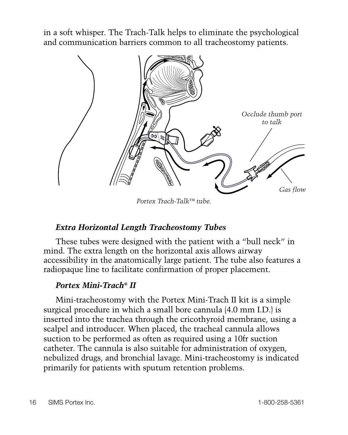in a soft whisper. The Trach-Talk helps to eliminate the psychological and communication barriers common to all tracheostomy patients.



*Portex Trach-Talk™ tube.*

#### *Extra Horizontal Length Tracheostomy Tubes*

These tubes were designed with the patient with a "bull neck" in mind. The extra length on the horizontal axis allows airway accessibility in the anatomically large patient. The tube also features a radiopaque line to facilitate confirmation of proper placement.

#### *Portex Mini-Trach® II*

Mini-tracheostomy with the Portex Mini-Trach II kit is a simple surgical procedure in which a small bore cannula (4.0 mm I.D.) is inserted into the trachea through the cricothyroid membrane, using a scalpel and introducer. When placed, the tracheal cannula allows suction to be performed as often as required using a 10fr suction catheter. The cannula is also suitable for administration of oxygen, nebulized drugs, and bronchial lavage. Mini-tracheostomy is indicated primarily for patients with sputum retention problems.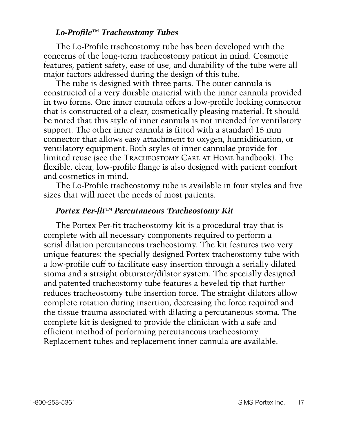#### *Lo-Profile™ Tracheostomy Tubes*

The Lo-Profile tracheostomy tube has been developed with the concerns of the long-term tracheostomy patient in mind. Cosmetic features, patient safety, ease of use, and durability of the tube were all major factors addressed during the design of this tube.

The tube is designed with three parts. The outer cannula is constructed of a very durable material with the inner cannula provided in two forms. One inner cannula offers a low-profile locking connector that is constructed of a clear, cosmetically pleasing material. It should be noted that this style of inner cannula is not intended for ventilatory support. The other inner cannula is fitted with a standard 15 mm connector that allows easy attachment to oxygen, humidification, or ventilatory equipment. Both styles of inner cannulae provide for limited reuse (see the TRACHEOSTOMY CARE AT HOME handbook). The flexible, clear, low-profile flange is also designed with patient comfort and cosmetics in mind.

The Lo-Profile tracheostomy tube is available in four styles and five sizes that will meet the needs of most patients.

#### *Portex Per-fit™ Percutaneous Tracheostomy Kit*

The Portex Per-fit tracheostomy kit is a procedural tray that is complete with all necessary components required to perform a serial dilation percutaneous tracheostomy. The kit features two very unique features: the specially designed Portex tracheostomy tube with a low-profile cuff to facilitate easy insertion through a serially dilated stoma and a straight obturator/dilator system. The specially designed and patented tracheostomy tube features a beveled tip that further reduces tracheostomy tube insertion force. The straight dilators allow complete rotation during insertion, decreasing the force required and the tissue trauma associated with dilating a percutaneous stoma. The complete kit is designed to provide the clinician with a safe and efficient method of performing percutaneous tracheostomy. Replacement tubes and replacement inner cannula are available.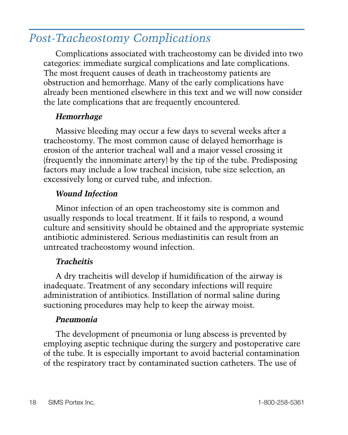# *Post-Tracheostomy Complications*

Complications associated with tracheostomy can be divided into two categories: immediate surgical complications and late complications. The most frequent causes of death in tracheostomy patients are obstruction and hemorrhage. Many of the early complications have already been mentioned elsewhere in this text and we will now consider the late complications that are frequently encountered.

#### *Hemorrhage*

Massive bleeding may occur a few days to several weeks after a tracheostomy. The most common cause of delayed hemorrhage is erosion of the anterior tracheal wall and a major vessel crossing it (frequently the innominate artery) by the tip of the tube. Predisposing factors may include a low tracheal incision, tube size selection, an excessively long or curved tube, and infection.

#### *Wound Infection*

Minor infection of an open tracheostomy site is common and usually responds to local treatment. If it fails to respond, a wound culture and sensitivity should be obtained and the appropriate systemic antibiotic administered. Serious mediastinitis can result from an untreated tracheostomy wound infection.

#### *Tracheitis*

A dry tracheitis will develop if humidification of the airway is inadequate. Treatment of any secondary infections will require administration of antibiotics. Instillation of normal saline during suctioning procedures may help to keep the airway moist.

#### *Pneumonia*

The development of pneumonia or lung abscess is prevented by employing aseptic technique during the surgery and postoperative care of the tube. It is especially important to avoid bacterial contamination of the respiratory tract by contaminated suction catheters. The use of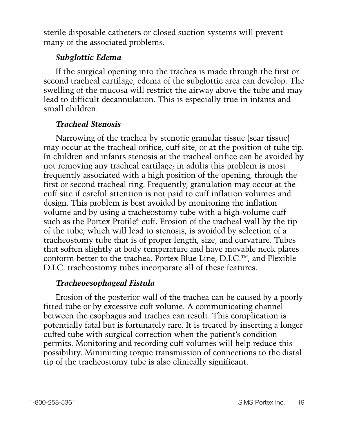sterile disposable catheters or closed suction systems will prevent many of the associated problems.

#### *Subglottic Edema*

If the surgical opening into the trachea is made through the first or second tracheal cartilage, edema of the subglottic area can develop. The swelling of the mucosa will restrict the airway above the tube and may lead to difficult decannulation. This is especially true in infants and small children.

#### *Tracheal Stenosis*

Narrowing of the trachea by stenotic granular tissue (scar tissue) may occur at the tracheal orifice, cuff site, or at the position of tube tip. In children and infants stenosis at the tracheal orifice can be avoided by not removing any tracheal cartilage; in adults this problem is most frequently associated with a high position of the opening, through the first or second tracheal ring. Frequently, granulation may occur at the cuff site if careful attention is not paid to cuff inflation volumes and design. This problem is best avoided by monitoring the inflation volume and by using a tracheostomy tube with a high-volume cuff such as the Portex Profile® cuff. Erosion of the tracheal wall by the tip of the tube, which will lead to stenosis, is avoided by selection of a tracheostomy tube that is of proper length, size, and curvature. Tubes that soften slightly at body temperature and have movable neck plates conform better to the trachea. Portex Blue Line, D.I.C.™, and Flexible D.I.C. tracheostomy tubes incorporate all of these features.

#### *Tracheoesophageal Fistula*

Erosion of the posterior wall of the trachea can be caused by a poorly fitted tube or by excessive cuff volume. A communicating channel between the esophagus and trachea can result. This complication is potentially fatal but is fortunately rare. It is treated by inserting a longer cuffed tube with surgical correction when the patient's condition permits. Monitoring and recording cuff volumes will help reduce this possibility. Minimizing torque transmission of connections to the distal tip of the tracheostomy tube is also clinically significant.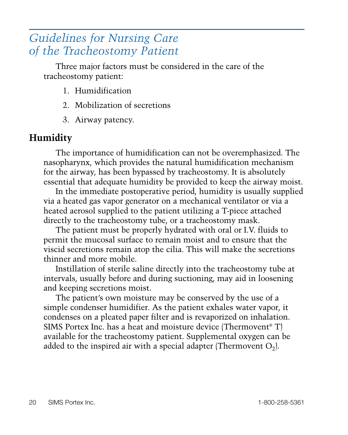# *Guidelines for Nursing Care of the Tracheostomy Patient*

Three major factors must be considered in the care of the tracheostomy patient:

- 1. Humidification
- 2. Mobilization of secretions
- 3. Airway patency.

# **Humidity**

The importance of humidification can not be overemphasized. The nasopharynx, which provides the natural humidification mechanism for the airway, has been bypassed by tracheostomy. It is absolutely essential that adequate humidity be provided to keep the airway moist.

In the immediate postoperative period, humidity is usually supplied via a heated gas vapor generator on a mechanical ventilator or via a heated aerosol supplied to the patient utilizing a T-piece attached directly to the tracheostomy tube, or a tracheostomy mask.

The patient must be properly hydrated with oral or I.V. fluids to permit the mucosal surface to remain moist and to ensure that the viscid secretions remain atop the cilia. This will make the secretions thinner and more mobile.

Instillation of sterile saline directly into the tracheostomy tube at intervals, usually before and during suctioning, may aid in loosening and keeping secretions moist.

The patient's own moisture may be conserved by the use of a simple condenser humidifier. As the patient exhales water vapor, it condenses on a pleated paper filter and is revaporized on inhalation. SIMS Portex Inc. has a heat and moisture device (Thermovent® T) available for the tracheostomy patient. Supplemental oxygen can be added to the inspired air with a special adapter (Thermovent  $O_2$ ).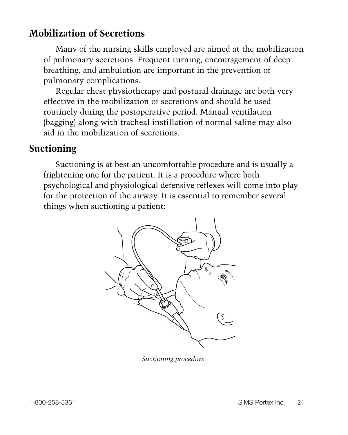### **Mobilization of Secretions**

Many of the nursing skills employed are aimed at the mobilization of pulmonary secretions. Frequent turning, encouragement of deep breathing, and ambulation are important in the prevention of pulmonary complications.

Regular chest physiotherapy and postural drainage are both very effective in the mobilization of secretions and should be used routinely during the postoperative period. Manual ventilation (bagging) along with tracheal instillation of normal saline may also aid in the mobilization of secretions.

### **Suctioning**

Suctioning is at best an uncomfortable procedure and is usually a frightening one for the patient. It is a procedure where both psychological and physiological defensive reflexes will come into play for the protection of the airway. It is essential to remember several things when suctioning a patient:



*Suctioning procedure.*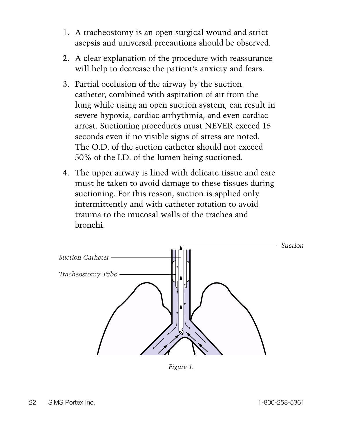- 1. A tracheostomy is an open surgical wound and strict asepsis and universal precautions should be observed.
- 2. A clear explanation of the procedure with reassurance will help to decrease the patient's anxiety and fears.
- 3. Partial occlusion of the airway by the suction catheter, combined with aspiration of air from the lung while using an open suction system, can result in severe hypoxia, cardiac arrhythmia, and even cardiac arrest. Suctioning procedures must NEVER exceed 15 seconds even if no visible signs of stress are noted. The O.D. of the suction catheter should not exceed 50% of the I.D. of the lumen being suctioned.
- 4. The upper airway is lined with delicate tissue and care must be taken to avoid damage to these tissues during suctioning. For this reason, suction is applied only intermittently and with catheter rotation to avoid trauma to the mucosal walls of the trachea and bronchi.



*Figure 1.*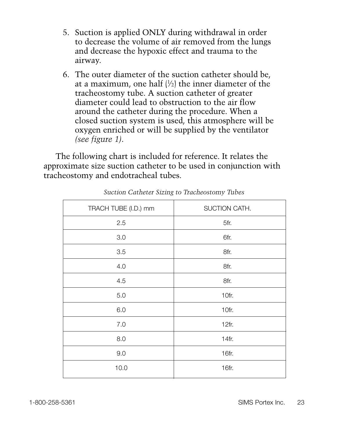- 5. Suction is applied ONLY during withdrawal in order to decrease the volume of air removed from the lungs and decrease the hypoxic effect and trauma to the airway.
- 6. The outer diameter of the suction catheter should be, at a maximum, one half  $|V_2|$  the inner diameter of the tracheostomy tube. A suction catheter of greater diameter could lead to obstruction to the air flow around the catheter during the procedure. When a closed suction system is used, this atmosphere will be oxygen enriched or will be supplied by the ventilator *(see figure 1)*.

The following chart is included for reference. It relates the approximate size suction catheter to be used in conjunction with tracheostomy and endotracheal tubes.

| TRACH TUBE (I.D.) mm | SUCTION CATH. |
|----------------------|---------------|
| 2.5                  | 5fr.          |
| 3.0                  | 6fr.          |
| 3.5                  | 8fr.          |
| 4.0                  | 8fr.          |
| 4.5                  | 8fr.          |
| 5.0                  | 10fr.         |
| 6.0                  | 10fr.         |
| 7.0                  | 12fr.         |
| 8.0                  | 14fr.         |
| 9.0                  | 16fr.         |
| 10.0                 | 16fr.         |

*Suction Catheter Sizing to Tracheostomy Tubes*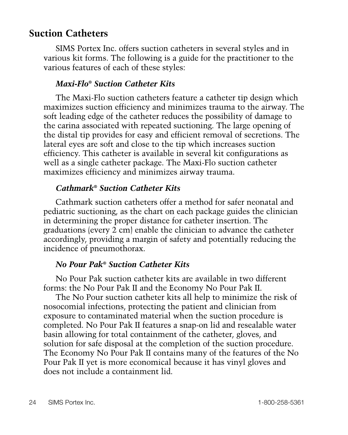### **Suction Catheters**

SIMS Portex Inc. offers suction catheters in several styles and in various kit forms. The following is a guide for the practitioner to the various features of each of these styles:

#### *Maxi-Flo® Suction Catheter Kits*

The Maxi-Flo suction catheters feature a catheter tip design which maximizes suction efficiency and minimizes trauma to the airway. The soft leading edge of the catheter reduces the possibility of damage to the carina associated with repeated suctioning. The large opening of the distal tip provides for easy and efficient removal of secretions. The lateral eyes are soft and close to the tip which increases suction efficiency. This catheter is available in several kit configurations as well as a single catheter package. The Maxi-Flo suction catheter maximizes efficiency and minimizes airway trauma.

#### *Cathmark® Suction Catheter Kits*

Cathmark suction catheters offer a method for safer neonatal and pediatric suctioning, as the chart on each package guides the clinician in determining the proper distance for catheter insertion. The graduations (every 2 cm) enable the clinician to advance the catheter accordingly, providing a margin of safety and potentially reducing the incidence of pneumothorax.

#### *No Pour Pak® Suction Catheter Kits*

No Pour Pak suction catheter kits are available in two different forms: the No Pour Pak II and the Economy No Pour Pak II.

The No Pour suction catheter kits all help to minimize the risk of nosocomial infections, protecting the patient and clinician from exposure to contaminated material when the suction procedure is completed. No Pour Pak II features a snap-on lid and resealable water basin allowing for total containment of the catheter, gloves, and solution for safe disposal at the completion of the suction procedure. The Economy No Pour Pak II contains many of the features of the No Pour Pak II yet is more economical because it has vinyl gloves and does not include a containment lid.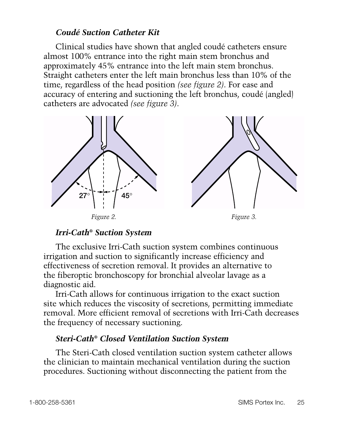#### *Coudé Suction Catheter Kit*

Clinical studies have shown that angled coudé catheters ensure almost 100% entrance into the right main stem bronchus and approximately 45% entrance into the left main stem bronchus. Straight catheters enter the left main bronchus less than 10% of the time, regardless of the head position *(see figure 2)*. For ease and accuracy of entering and suctioning the left bronchus, coudé (angled) catheters are advocated *(see figure 3)*.



#### *Irri-Cath® Suction System*

The exclusive Irri-Cath suction system combines continuous irrigation and suction to significantly increase efficiency and effectiveness of secretion removal. It provides an alternative to the fiberoptic bronchoscopy for bronchial alveolar lavage as a diagnostic aid.

Irri-Cath allows for continuous irrigation to the exact suction site which reduces the viscosity of secretions, permitting immediate removal. More efficient removal of secretions with Irri-Cath decreases the frequency of necessary suctioning.

#### *Steri-Cath® Closed Ventilation Suction System*

The Steri-Cath closed ventilation suction system catheter allows the clinician to maintain mechanical ventilation during the suction procedures. Suctioning without disconnecting the patient from the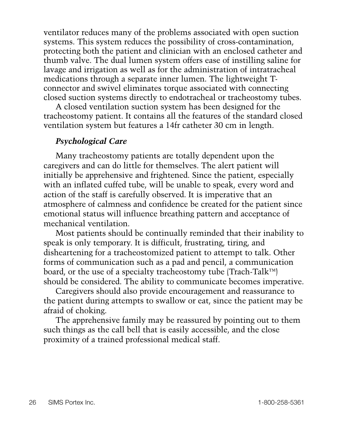ventilator reduces many of the problems associated with open suction systems. This system reduces the possibility of cross-contamination, protecting both the patient and clinician with an enclosed catheter and thumb valve. The dual lumen system offers ease of instilling saline for lavage and irrigation as well as for the administration of intratracheal medications through a separate inner lumen. The lightweight Tconnector and swivel eliminates torque associated with connecting closed suction systems directly to endotracheal or tracheostomy tubes.

A closed ventilation suction system has been designed for the tracheostomy patient. It contains all the features of the standard closed ventilation system but features a 14fr catheter 30 cm in length.

#### *Psychological Care*

Many tracheostomy patients are totally dependent upon the caregivers and can do little for themselves. The alert patient will initially be apprehensive and frightened. Since the patient, especially with an inflated cuffed tube, will be unable to speak, every word and action of the staff is carefully observed. It is imperative that an atmosphere of calmness and confidence be created for the patient since emotional status will influence breathing pattern and acceptance of mechanical ventilation.

Most patients should be continually reminded that their inability to speak is only temporary. It is difficult, frustrating, tiring, and disheartening for a tracheostomized patient to attempt to talk. Other forms of communication such as a pad and pencil, a communication board, or the use of a specialty tracheostomy tube (Trach-Talk™) should be considered. The ability to communicate becomes imperative.

Caregivers should also provide encouragement and reassurance to the patient during attempts to swallow or eat, since the patient may be afraid of choking.

The apprehensive family may be reassured by pointing out to them such things as the call bell that is easily accessible, and the close proximity of a trained professional medical staff.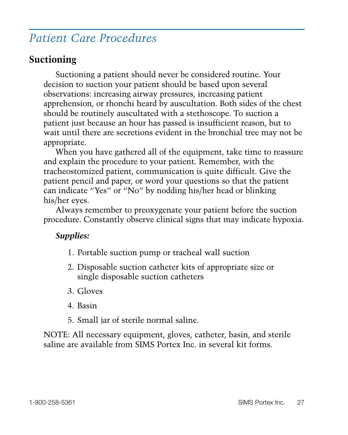# *Patient Care Procedures*

### **Suctioning**

Suctioning a patient should never be considered routine. Your decision to suction your patient should be based upon several observations: increasing airway pressures, increasing patient apprehension, or rhonchi heard by auscultation. Both sides of the chest should be routinely auscultated with a stethoscope. To suction a patient just because an hour has passed is insufficient reason, but to wait until there are secretions evident in the bronchial tree may not be appropriate.

When you have gathered all of the equipment, take time to reassure and explain the procedure to your patient. Remember, with the tracheostomized patient, communication is quite difficult. Give the patient pencil and paper, or word your questions so that the patient can indicate "Yes" or "No" by nodding his/her head or blinking his/her eyes.

Always remember to preoxygenate your patient before the suction procedure. Constantly observe clinical signs that may indicate hypoxia.

#### *Supplies:*

- 1. Portable suction pump or tracheal wall suction
- 2. Disposable suction catheter kits of appropriate size or single disposable suction catheters
- 3. Gloves
- 4. Basin
- 5. Small jar of sterile normal saline.

NOTE: All necessary equipment, gloves, catheter, basin, and sterile saline are available from SIMS Portex Inc. in several kit forms.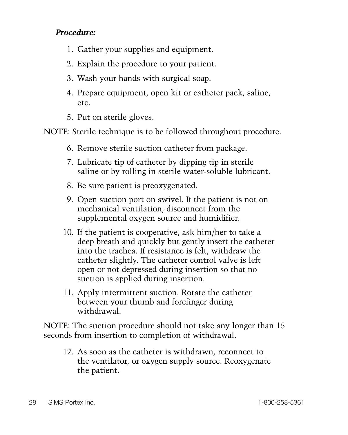#### *Procedure:*

- 1. Gather your supplies and equipment.
- 2. Explain the procedure to your patient.
- 3. Wash your hands with surgical soap.
- 4. Prepare equipment, open kit or catheter pack, saline, etc.
- 5. Put on sterile gloves.

NOTE: Sterile technique is to be followed throughout procedure.

- 6. Remove sterile suction catheter from package.
- 7. Lubricate tip of catheter by dipping tip in sterile saline or by rolling in sterile water-soluble lubricant.
- 8. Be sure patient is preoxygenated.
- 9. Open suction port on swivel. If the patient is not on mechanical ventilation, disconnect from the supplemental oxygen source and humidifier.
- 10. If the patient is cooperative, ask him/her to take a deep breath and quickly but gently insert the catheter into the trachea. If resistance is felt, withdraw the catheter slightly. The catheter control valve is left open or not depressed during insertion so that no suction is applied during insertion.
- 11. Apply intermittent suction. Rotate the catheter between your thumb and forefinger during withdrawal.

NOTE: The suction procedure should not take any longer than 15 seconds from insertion to completion of withdrawal.

12. As soon as the catheter is withdrawn, reconnect to the ventilator, or oxygen supply source. Reoxygenate the patient.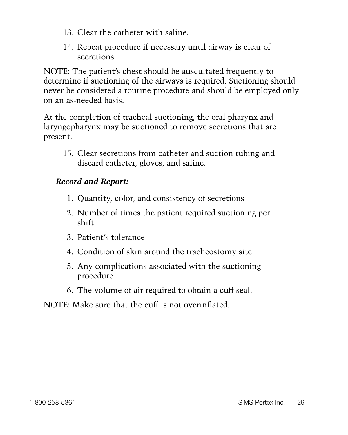- 13. Clear the catheter with saline.
- 14. Repeat procedure if necessary until airway is clear of secretions.

NOTE: The patient's chest should be auscultated frequently to determine if suctioning of the airways is required. Suctioning should never be considered a routine procedure and should be employed only on an as-needed basis.

At the completion of tracheal suctioning, the oral pharynx and laryngopharynx may be suctioned to remove secretions that are present.

15. Clear secretions from catheter and suction tubing and discard catheter, gloves, and saline.

### *Record and Report:*

- 1. Quantity, color, and consistency of secretions
- 2. Number of times the patient required suctioning per shift
- 3. Patient's tolerance
- 4. Condition of skin around the tracheostomy site
- 5. Any complications associated with the suctioning procedure
- 6. The volume of air required to obtain a cuff seal.

#### NOTE: Make sure that the cuff is not overinflated.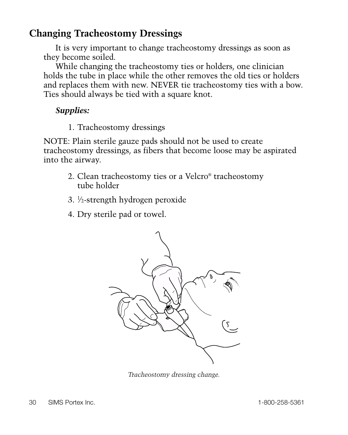# **Changing Tracheostomy Dressings**

It is very important to change tracheostomy dressings as soon as they become soiled.

While changing the tracheostomy ties or holders, one clinician holds the tube in place while the other removes the old ties or holders and replaces them with new. NEVER tie tracheostomy ties with a bow. Ties should always be tied with a square knot.

#### *Supplies:*

1. Tracheostomy dressings

NOTE: Plain sterile gauze pads should not be used to create tracheostomy dressings, as fibers that become loose may be aspirated into the airway.

- 2. Clean tracheostomy ties or a Velcro® tracheostomy tube holder
- 3. <sup>1</sup> ⁄2-strength hydrogen peroxide
- 4. Dry sterile pad or towel.



*Tracheostomy dressing change.*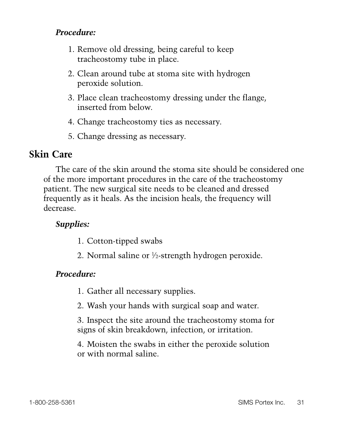#### *Procedure:*

- 1. Remove old dressing, being careful to keep tracheostomy tube in place.
- 2. Clean around tube at stoma site with hydrogen peroxide solution.
- 3. Place clean tracheostomy dressing under the flange, inserted from below.
- 4. Change tracheostomy ties as necessary.
- 5. Change dressing as necessary.

### **Skin Care**

The care of the skin around the stoma site should be considered one of the more important procedures in the care of the tracheostomy patient. The new surgical site needs to be cleaned and dressed frequently as it heals. As the incision heals, the frequency will decrease.

#### *Supplies:*

- 1. Cotton-tipped swabs
- 2. Normal saline or 1 ⁄2-strength hydrogen peroxide.

#### *Procedure:*

- 1. Gather all necessary supplies.
- 2. Wash your hands with surgical soap and water.
- 3. Inspect the site around the tracheostomy stoma for signs of skin breakdown, infection, or irritation.
- 4. Moisten the swabs in either the peroxide solution or with normal saline.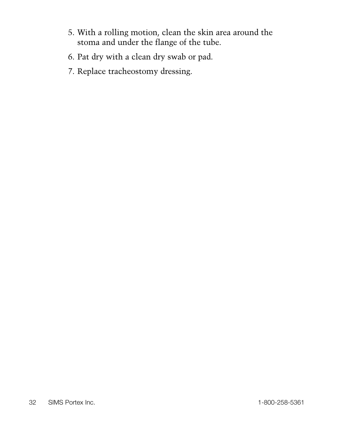- 5. With a rolling motion, clean the skin area around the stoma and under the flange of the tube.
- 6. Pat dry with a clean dry swab or pad.
- 7. Replace tracheostomy dressing.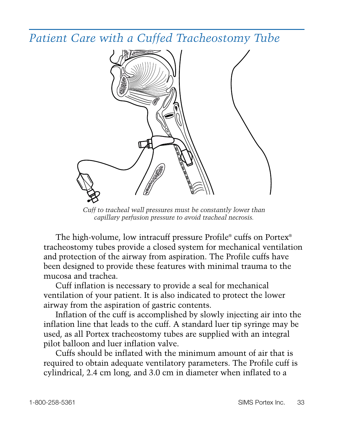*Patient Care with a Cuffed Tracheostomy Tube*



*Cuff to tracheal wall pressures must be constantly lower than capillary perfusion pressure to avoid tracheal necrosis.*

The high-volume, low intracuff pressure Profile® cuffs on Portex® tracheostomy tubes provide a closed system for mechanical ventilation and protection of the airway from aspiration. The Profile cuffs have been designed to provide these features with minimal trauma to the mucosa and trachea.

Cuff inflation is necessary to provide a seal for mechanical ventilation of your patient. It is also indicated to protect the lower airway from the aspiration of gastric contents.

Inflation of the cuff is accomplished by slowly injecting air into the inflation line that leads to the cuff. A standard luer tip syringe may be used, as all Portex tracheostomy tubes are supplied with an integral pilot balloon and luer inflation valve.

Cuffs should be inflated with the minimum amount of air that is required to obtain adequate ventilatory parameters. The Profile cuff is cylindrical, 2.4 cm long, and 3.0 cm in diameter when inflated to a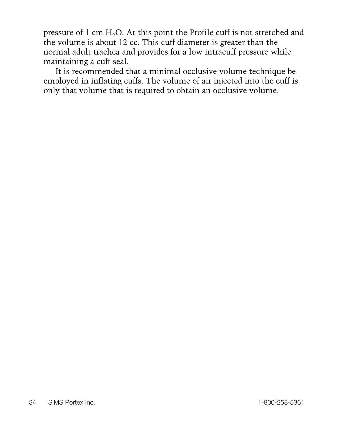pressure of 1 cm H<sub>2</sub>O. At this point the Profile cuff is not stretched and the volume is about 12 cc. This cuff diameter is greater than the normal adult trachea and provides for a low intracuff pressure while maintaining a cuff seal.

It is recommended that a minimal occlusive volume technique be employed in inflating cuffs. The volume of air injected into the cuff is only that volume that is required to obtain an occlusive volume.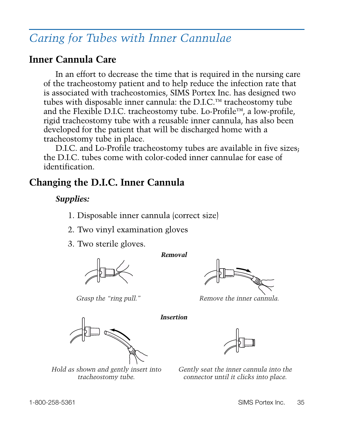# *Caring for Tubes with Inner Cannulae*

### **Inner Cannula Care**

In an effort to decrease the time that is required in the nursing care of the tracheostomy patient and to help reduce the infection rate that is associated with tracheostomies, SIMS Portex Inc. has designed two tubes with disposable inner cannula: the D.I.C.™ tracheostomy tube and the Flexible D.I.C. tracheostomy tube. Lo-Profile™, a low-profile, rigid tracheostomy tube with a reusable inner cannula, has also been developed for the patient that will be discharged home with a tracheostomy tube in place.

D.I.C. and Lo-Profile tracheostomy tubes are available in five sizes; the D.I.C. tubes come with color-coded inner cannulae for ease of identification.

### **Changing the D.I.C. Inner Cannula**

#### *Supplies:*

1. Disposable inner cannula (correct size)

- 2. Two vinyl examination gloves
- 3. Two sterile gloves.







*Grasp the "ring pull." Remove the inner cannula.*

*Insertion*



*Hold as shown and gently insert into tracheostomy tube.*



*Gently seat the inner cannula into the connector until it clicks into place.*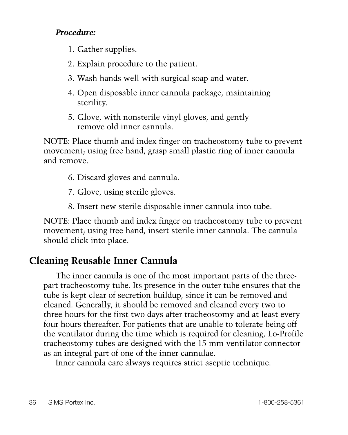#### *Procedure:*

- 1. Gather supplies.
- 2. Explain procedure to the patient.
- 3. Wash hands well with surgical soap and water.
- 4. Open disposable inner cannula package, maintaining sterility.
- 5. Glove, with nonsterile vinyl gloves, and gently remove old inner cannula.

NOTE: Place thumb and index finger on tracheostomy tube to prevent movement; using free hand, grasp small plastic ring of inner cannula and remove.

- 6. Discard gloves and cannula.
- 7. Glove, using sterile gloves.
- 8. Insert new sterile disposable inner cannula into tube.

NOTE: Place thumb and index finger on tracheostomy tube to prevent movement; using free hand, insert sterile inner cannula. The cannula should click into place.

# **Cleaning Reusable Inner Cannula**

The inner cannula is one of the most important parts of the threepart tracheostomy tube. Its presence in the outer tube ensures that the tube is kept clear of secretion buildup, since it can be removed and cleaned. Generally, it should be removed and cleaned every two to three hours for the first two days after tracheostomy and at least every four hours thereafter. For patients that are unable to tolerate being off the ventilator during the time which is required for cleaning, Lo-Profile tracheostomy tubes are designed with the 15 mm ventilator connector as an integral part of one of the inner cannulae.

Inner cannula care always requires strict aseptic technique.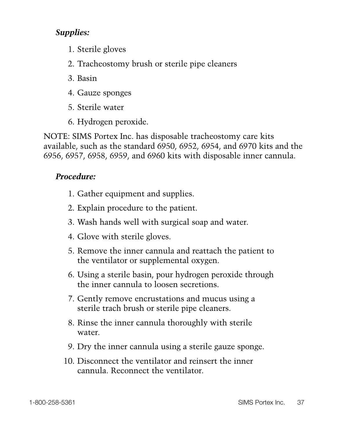#### *Supplies:*

- 1. Sterile gloves
- 2. Tracheostomy brush or sterile pipe cleaners
- 3. Basin
- 4. Gauze sponges
- 5. Sterile water
- 6. Hydrogen peroxide.

NOTE: SIMS Portex Inc. has disposable tracheostomy care kits available, such as the standard 6950, 6952, 6954, and 6970 kits and the 6956, 6957, 6958, 6959, and 6960 kits with disposable inner cannula.

#### *Procedure:*

- 1. Gather equipment and supplies.
- 2. Explain procedure to the patient.
- 3. Wash hands well with surgical soap and water.
- 4. Glove with sterile gloves.
- 5. Remove the inner cannula and reattach the patient to the ventilator or supplemental oxygen.
- 6. Using a sterile basin, pour hydrogen peroxide through the inner cannula to loosen secretions.
- 7. Gently remove encrustations and mucus using a sterile trach brush or sterile pipe cleaners.
- 8. Rinse the inner cannula thoroughly with sterile water.
- 9. Dry the inner cannula using a sterile gauze sponge.
- 10. Disconnect the ventilator and reinsert the inner cannula. Reconnect the ventilator.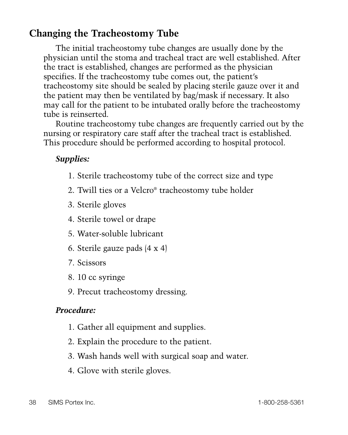# **Changing the Tracheostomy Tube**

The initial tracheostomy tube changes are usually done by the physician until the stoma and tracheal tract are well established. After the tract is established, changes are performed as the physician specifies. If the tracheostomy tube comes out, the patient's tracheostomy site should be sealed by placing sterile gauze over it and the patient may then be ventilated by bag/mask if necessary. It also may call for the patient to be intubated orally before the tracheostomy tube is reinserted.

Routine tracheostomy tube changes are frequently carried out by the nursing or respiratory care staff after the tracheal tract is established. This procedure should be performed according to hospital protocol.

#### *Supplies:*

- 1. Sterile tracheostomy tube of the correct size and type
- 2. Twill ties or a Velcro® tracheostomy tube holder
- 3. Sterile gloves
- 4. Sterile towel or drape
- 5. Water-soluble lubricant
- 6. Sterile gauze pads (4 x 4)
- 7. Scissors
- 8. 10 cc syringe
- 9. Precut tracheostomy dressing.

#### *Procedure:*

- 1. Gather all equipment and supplies.
- 2. Explain the procedure to the patient.
- 3. Wash hands well with surgical soap and water.
- 4. Glove with sterile gloves.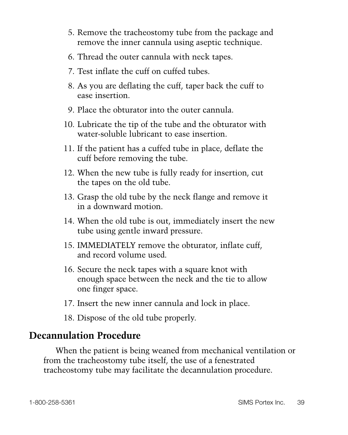- 5. Remove the tracheostomy tube from the package and remove the inner cannula using aseptic technique.
- 6. Thread the outer cannula with neck tapes.
- 7. Test inflate the cuff on cuffed tubes.
- 8. As you are deflating the cuff, taper back the cuff to ease insertion.
- 9. Place the obturator into the outer cannula.
- 10. Lubricate the tip of the tube and the obturator with water-soluble lubricant to ease insertion.
- 11. If the patient has a cuffed tube in place, deflate the cuff before removing the tube.
- 12. When the new tube is fully ready for insertion, cut the tapes on the old tube.
- 13. Grasp the old tube by the neck flange and remove it in a downward motion.
- 14. When the old tube is out, immediately insert the new tube using gentle inward pressure.
- 15. IMMEDIATELY remove the obturator, inflate cuff, and record volume used.
- 16. Secure the neck tapes with a square knot with enough space between the neck and the tie to allow one finger space.
- 17. Insert the new inner cannula and lock in place.
- 18. Dispose of the old tube properly.

# **Decannulation Procedure**

When the patient is being weaned from mechanical ventilation or from the tracheostomy tube itself, the use of a fenestrated tracheostomy tube may facilitate the decannulation procedure.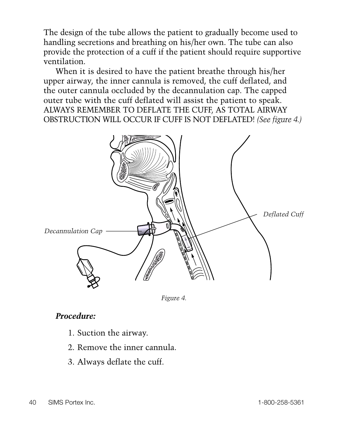The design of the tube allows the patient to gradually become used to handling secretions and breathing on his/her own. The tube can also provide the protection of a cuff if the patient should require supportive ventilation.

When it is desired to have the patient breathe through his/her upper airway, the inner cannula is removed, the cuff deflated, and the outer cannula occluded by the decannulation cap. The capped outer tube with the cuff deflated will assist the patient to speak. ALWAYS REMEMBER TO DEFLATE THE CUFF, AS TOTAL AIRWAY OBSTRUCTION WILL OCCUR IF CUFF IS NOT DEFLATED! *(See figure 4.)*





#### *Procedure:*

- 1. Suction the airway.
- 2. Remove the inner cannula.
- 3. Always deflate the cuff.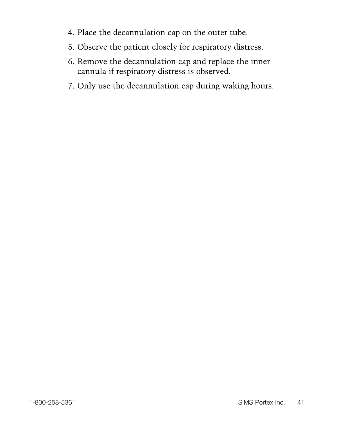- 4. Place the decannulation cap on the outer tube.
- 5. Observe the patient closely for respiratory distress.
- 6. Remove the decannulation cap and replace the inner cannula if respiratory distress is observed.
- 7. Only use the decannulation cap during waking hours.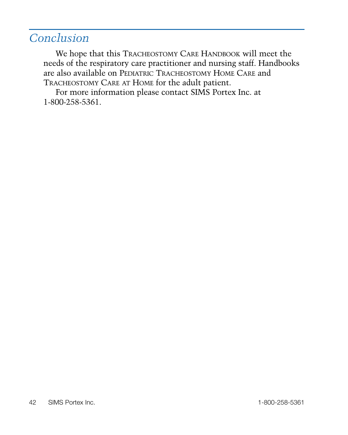# *Conclusion*

We hope that this TRACHEOSTOMY CARE HANDBOOK will meet the needs of the respiratory care practitioner and nursing staff. Handbooks are also available on PEDIATRIC TRACHEOSTOMY HOME CARE and TRACHEOSTOMY CARE AT HOME for the adult patient.

For more information please contact SIMS Portex Inc. at 1-800-258-5361.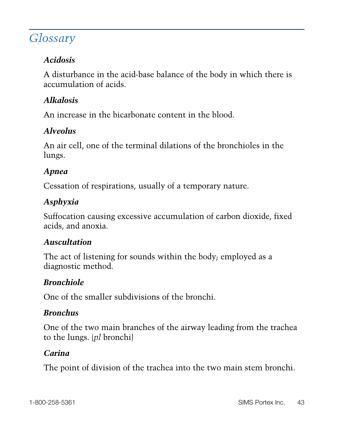# *Glossary*

### *Acidosis*

A disturbance in the acid-base balance of the body in which there is accumulation of acids.

### *Alkalosis*

An increase in the bicarbonate content in the blood.

#### *Alveolus*

An air cell, one of the terminal dilations of the bronchioles in the lungs.

#### *Apnea*

Cessation of respirations, usually of a temporary nature.

#### *Asphyxia*

Suffocation causing excessive accumulation of carbon dioxide, fixed acids, and anoxia.

#### *Auscultation*

The act of listening for sounds within the body; employed as a diagnostic method.

#### *Bronchiole*

One of the smaller subdivisions of the bronchi.

#### *Bronchus*

One of the two main branches of the airway leading from the trachea to the lungs. (*pl* bronchi)

#### *Carina*

The point of division of the trachea into the two main stem bronchi.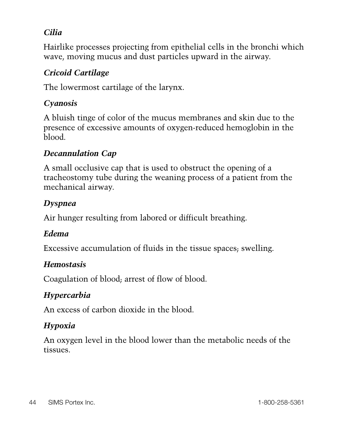#### *Cilia*

Hairlike processes projecting from epithelial cells in the bronchi which wave, moving mucus and dust particles upward in the airway.

#### *Cricoid Cartilage*

The lowermost cartilage of the larynx.

#### *Cyanosis*

A bluish tinge of color of the mucus membranes and skin due to the presence of excessive amounts of oxygen-reduced hemoglobin in the blood.

#### *Decannulation Cap*

A small occlusive cap that is used to obstruct the opening of a tracheostomy tube during the weaning process of a patient from the mechanical airway.

#### *Dyspnea*

Air hunger resulting from labored or difficult breathing.

#### *Edema*

Excessive accumulation of fluids in the tissue spaces; swelling.

#### *Hemostasis*

Coagulation of blood; arrest of flow of blood.

#### *Hypercarbia*

An excess of carbon dioxide in the blood.

#### *Hypoxia*

An oxygen level in the blood lower than the metabolic needs of the tissues.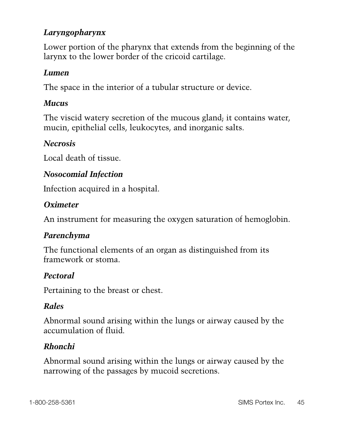#### *Laryngopharynx*

Lower portion of the pharynx that extends from the beginning of the larynx to the lower border of the cricoid cartilage.

#### *Lumen*

The space in the interior of a tubular structure or device.

#### *Mucus*

The viscid watery secretion of the mucous gland; it contains water, mucin, epithelial cells, leukocytes, and inorganic salts.

#### *Necrosis*

Local death of tissue.

#### *Nosocomial Infection*

Infection acquired in a hospital.

#### *Oximeter*

An instrument for measuring the oxygen saturation of hemoglobin.

#### *Parenchyma*

The functional elements of an organ as distinguished from its framework or stoma.

#### *Pectoral*

Pertaining to the breast or chest.

#### *Rales*

Abnormal sound arising within the lungs or airway caused by the accumulation of fluid.

#### *Rhonchi*

Abnormal sound arising within the lungs or airway caused by the narrowing of the passages by mucoid secretions.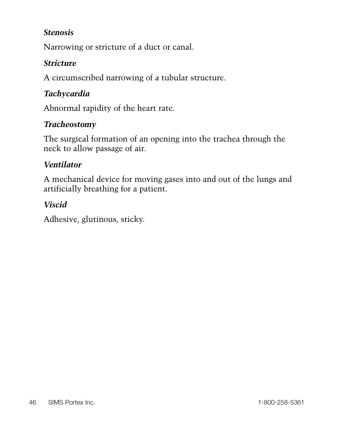#### *Stenosis*

Narrowing or stricture of a duct or canal.

#### *Stricture*

A circumscribed narrowing of a tubular structure.

#### *Tachycardia*

Abnormal rapidity of the heart rate.

#### *Tracheostomy*

The surgical formation of an opening into the trachea through the neck to allow passage of air.

#### *Ventilator*

A mechanical device for moving gases into and out of the lungs and artificially breathing for a patient.

#### *Viscid*

Adhesive, glutinous, sticky.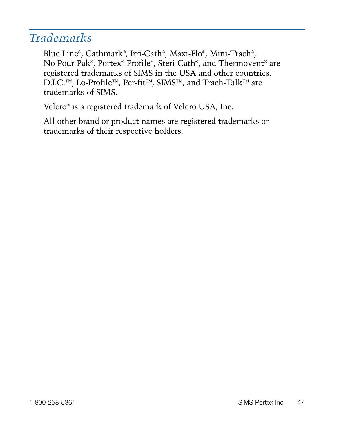# *Trademarks*

Blue Line®, Cathmark®, Irri-Cath®, Maxi-Flo®, Mini-Trach®, No Pour Pak®, Portex® Profile®, Steri-Cath®, and Thermovent® are registered trademarks of SIMS in the USA and other countries. D.I.C.™, Lo-Profile™, Per-fit™, SIMS™, and Trach-Talk™ are trademarks of SIMS.

Velcro® is a registered trademark of Velcro USA, Inc.

All other brand or product names are registered trademarks or trademarks of their respective holders.